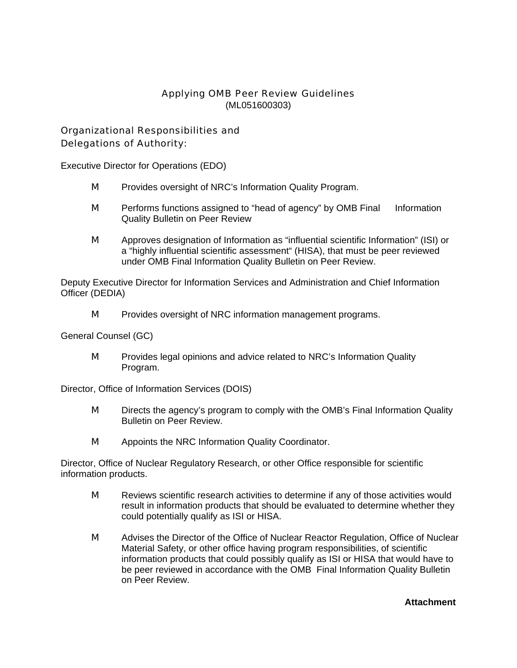# Applying OMB Peer Review Guidelines (ML051600303)

# Organizational Responsibilities and Delegations of Authority:

Executive Director for Operations (EDO)

- **M** Provides oversight of NRC's Information Quality Program.
- **M** Performs functions assigned to "head of agency" by OMB Final Information Quality Bulletin on Peer Review
- M Approves designation of Information as "influential scientific Information" (ISI) or a "highly influential scientific assessment" (HISA), that must be peer reviewed under OMB Final Information Quality Bulletin on Peer Review.

Deputy Executive Director for Information Services and Administration and Chief Information Officer (DEDIA)

**M** Provides oversight of NRC information management programs.

General Counsel (GC)

**M** Provides legal opinions and advice related to NRC's Information Quality Program.

Director, Office of Information Services (DOIS)

- **M** Directs the agency's program to comply with the OMB's Final Information Quality Bulletin on Peer Review.
- **M** Appoints the NRC Information Quality Coordinator.

Director, Office of Nuclear Regulatory Research, or other Office responsible for scientific information products.

- **M** Reviews scientific research activities to determine if any of those activities would result in information products that should be evaluated to determine whether they could potentially qualify as ISI or HISA.
- **M** Advises the Director of the Office of Nuclear Reactor Regulation, Office of Nuclear Material Safety, or other office having program responsibilities, of scientific information products that could possibly qualify as ISI or HISA that would have to be peer reviewed in accordance with the OMB Final Information Quality Bulletin on Peer Review.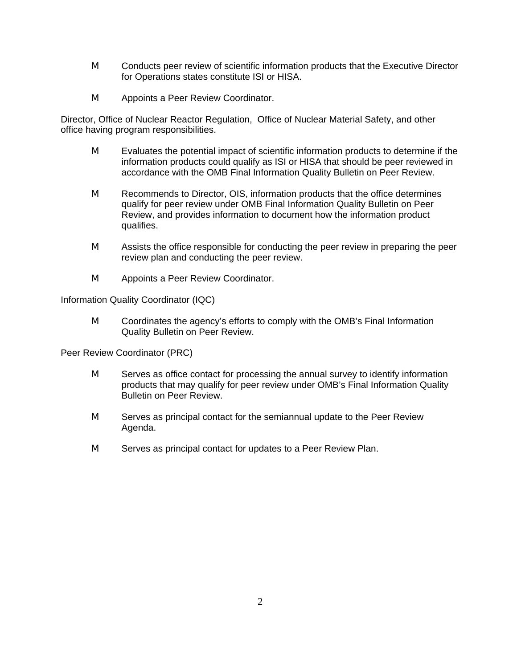- **M** Conducts peer review of scientific information products that the Executive Director for Operations states constitute ISI or HISA.
- **M** Appoints a Peer Review Coordinator.

Director, Office of Nuclear Reactor Regulation, Office of Nuclear Material Safety, and other office having program responsibilities.

- **M** Evaluates the potential impact of scientific information products to determine if the information products could qualify as ISI or HISA that should be peer reviewed in accordance with the OMB Final Information Quality Bulletin on Peer Review.
- **M** Recommends to Director, OIS, information products that the office determines qualify for peer review under OMB Final Information Quality Bulletin on Peer Review, and provides information to document how the information product qualifies.
- **M** Assists the office responsible for conducting the peer review in preparing the peer review plan and conducting the peer review.
- **M** Appoints a Peer Review Coordinator.

Information Quality Coordinator (IQC)

**M** Coordinates the agency's efforts to comply with the OMB's Final Information Quality Bulletin on Peer Review.

Peer Review Coordinator (PRC)

- **M** Serves as office contact for processing the annual survey to identify information products that may qualify for peer review under OMB's Final Information Quality Bulletin on Peer Review.
- **M** Serves as principal contact for the semiannual update to the Peer Review Agenda.
- **M** Serves as principal contact for updates to a Peer Review Plan.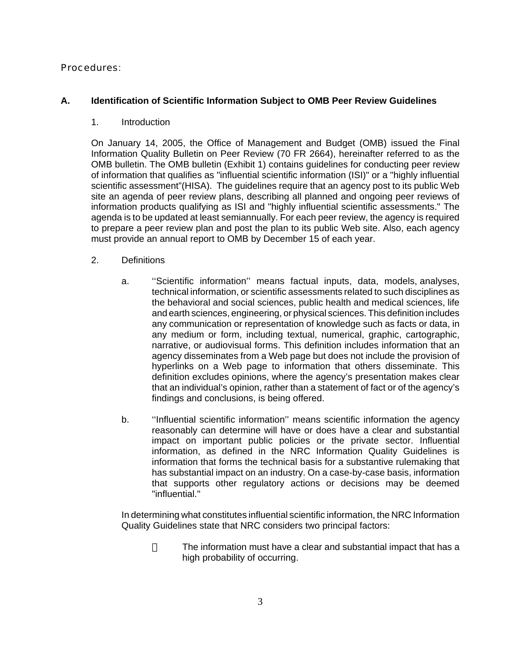# Procedures:

# **A. Identification of Scientific Information Subject to OMB Peer Review Guidelines**

### 1. Introduction

On January 14, 2005, the Office of Management and Budget (OMB) issued the Final Information Quality Bulletin on Peer Review (70 FR 2664), hereinafter referred to as the OMB bulletin. The OMB bulletin (Exhibit 1) contains guidelines for conducting peer review of information that qualifies as "influential scientific information (ISI)" or a "highly influential scientific assessment"(HISA). The guidelines require that an agency post to its public Web site an agenda of peer review plans, describing all planned and ongoing peer reviews of information products qualifying as ISI and "highly influential scientific assessments." The agenda is to be updated at least semiannually. For each peer review, the agency is required to prepare a peer review plan and post the plan to its public Web site. Also, each agency must provide an annual report to OMB by December 15 of each year.

#### 2. Definitions

- a. ''Scientific information'' means factual inputs, data, models, analyses, technical information, or scientific assessments related to such disciplines as the behavioral and social sciences, public health and medical sciences, life and earth sciences, engineering, or physical sciences. This definition includes any communication or representation of knowledge such as facts or data, in any medium or form, including textual, numerical, graphic, cartographic, narrative, or audiovisual forms. This definition includes information that an agency disseminates from a Web page but does not include the provision of hyperlinks on a Web page to information that others disseminate. This definition excludes opinions, where the agency's presentation makes clear that an individual's opinion, rather than a statement of fact or of the agency's findings and conclusions, is being offered.
- b. ''Influential scientific information'' means scientific information the agency reasonably can determine will have or does have a clear and substantial impact on important public policies or the private sector. Influential information, as defined in the NRC Information Quality Guidelines is information that forms the technical basis for a substantive rulemaking that has substantial impact on an industry. On a case-by-case basis, information that supports other regulatory actions or decisions may be deemed "influential."

In determining what constitutes influential scientific information, the NRC Information Quality Guidelines state that NRC considers two principal factors:

> The information must have a clear and substantial impact that has a high probability of occurring.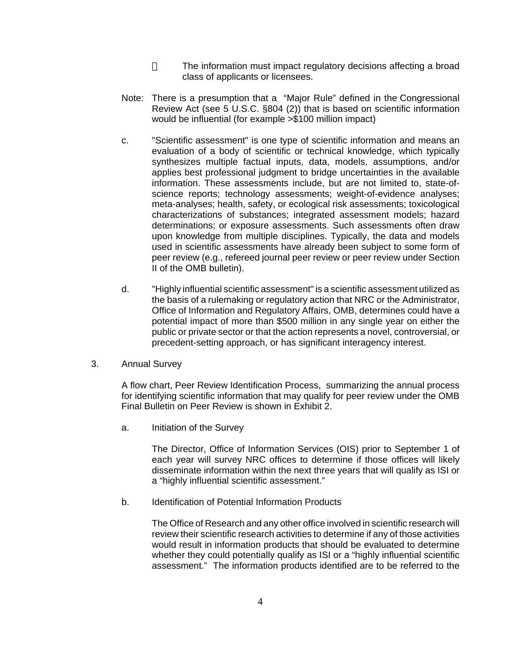The information must impact regulatory decisions affecting a broad class of applicants or licensees.

- Note: There is a presumption that a "Major Rule" defined in the Congressional Review Act (see 5 U.S.C. §804 (2)) that is based on scientific information would be influential (for example >\$100 million impact)
- c. "Scientific assessment" is one type of scientific information and means an evaluation of a body of scientific or technical knowledge, which typically synthesizes multiple factual inputs, data, models, assumptions, and/or applies best professional judgment to bridge uncertainties in the available information. These assessments include, but are not limited to, state-ofscience reports; technology assessments; weight-of-evidence analyses; meta-analyses; health, safety, or ecological risk assessments; toxicological characterizations of substances; integrated assessment models; hazard determinations; or exposure assessments. Such assessments often draw upon knowledge from multiple disciplines. Typically, the data and models used in scientific assessments have already been subject to some form of peer review (e.g., refereed journal peer review or peer review under Section II of the OMB bulletin).
- d. "Highly influential scientific assessment" is a scientific assessment utilized as the basis of a rulemaking or regulatory action that NRC or the Administrator, Office of Information and Regulatory Affairs, OMB, determines could have a potential impact of more than \$500 million in any single year on either the public or private sector or that the action represents a novel, controversial, or precedent-setting approach, or has significant interagency interest.
- 3. Annual Survey

A flow chart, Peer Review Identification Process, summarizing the annual process for identifying scientific information that may qualify for peer review under the OMB Final Bulletin on Peer Review is shown in Exhibit 2.

a. Initiation of the Survey

The Director, Office of Information Services (OIS) prior to September 1 of each year will survey NRC offices to determine if those offices will likely disseminate information within the next three years that will qualify as ISI or a "highly influential scientific assessment."

b. Identification of Potential Information Products

The Office of Research and any other office involved in scientific research will review their scientific research activities to determine if any of those activities would result in information products that should be evaluated to determine whether they could potentially qualify as ISI or a "highly influential scientific assessment." The information products identified are to be referred to the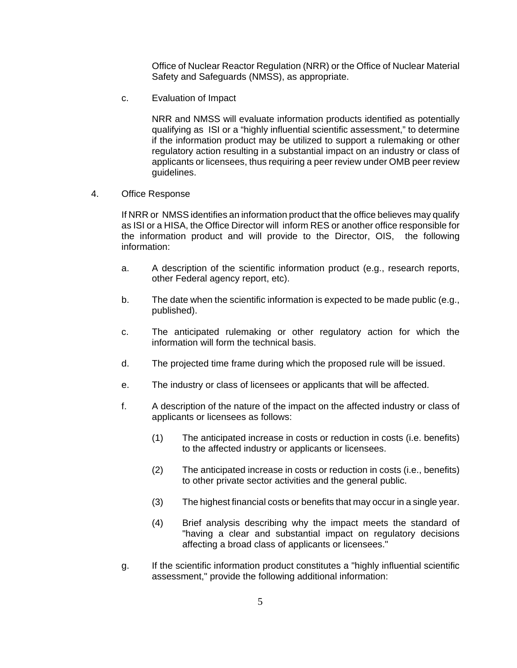Office of Nuclear Reactor Regulation (NRR) or the Office of Nuclear Material Safety and Safeguards (NMSS), as appropriate.

c. Evaluation of Impact

NRR and NMSS will evaluate information products identified as potentially qualifying as ISI or a "highly influential scientific assessment," to determine if the information product may be utilized to support a rulemaking or other regulatory action resulting in a substantial impact on an industry or class of applicants or licensees, thus requiring a peer review under OMB peer review guidelines.

4. Office Response

If NRR or NMSS identifies an information product that the office believes may qualify as ISI or a HISA, the Office Director will inform RES or another office responsible for the information product and will provide to the Director, OIS, the following information:

- a. A description of the scientific information product (e.g., research reports, other Federal agency report, etc).
- b. The date when the scientific information is expected to be made public (e.g., published).
- c. The anticipated rulemaking or other regulatory action for which the information will form the technical basis.
- d. The projected time frame during which the proposed rule will be issued.
- e. The industry or class of licensees or applicants that will be affected.
- f. A description of the nature of the impact on the affected industry or class of applicants or licensees as follows:
	- (1) The anticipated increase in costs or reduction in costs (i.e. benefits) to the affected industry or applicants or licensees.
	- (2) The anticipated increase in costs or reduction in costs (i.e., benefits) to other private sector activities and the general public.
	- (3) The highest financial costs or benefits that may occur in a single year.
	- (4) Brief analysis describing why the impact meets the standard of "having a clear and substantial impact on regulatory decisions affecting a broad class of applicants or licensees."
- g. If the scientific information product constitutes a "highly influential scientific assessment," provide the following additional information: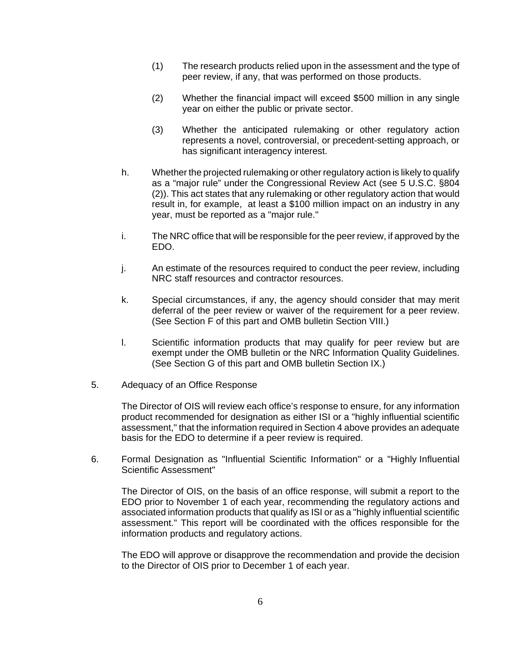- (1) The research products relied upon in the assessment and the type of peer review, if any, that was performed on those products.
- (2) Whether the financial impact will exceed \$500 million in any single year on either the public or private sector.
- (3) Whether the anticipated rulemaking or other regulatory action represents a novel, controversial, or precedent-setting approach, or has significant interagency interest.
- h. Whether the projected rulemaking or other regulatory action is likely to qualify as a "major rule" under the Congressional Review Act (see 5 U.S.C. §804 (2)). This act states that any rulemaking or other regulatory action that would result in, for example, at least a \$100 million impact on an industry in any year, must be reported as a "major rule."
- i. The NRC office that will be responsible for the peer review, if approved by the EDO.
- j. An estimate of the resources required to conduct the peer review, including NRC staff resources and contractor resources.
- k. Special circumstances, if any, the agency should consider that may merit deferral of the peer review or waiver of the requirement for a peer review. (See Section F of this part and OMB bulletin Section VIII.)
- l. Scientific information products that may qualify for peer review but are exempt under the OMB bulletin or the NRC Information Quality Guidelines. (See Section G of this part and OMB bulletin Section IX.)
- 5. Adequacy of an Office Response

The Director of OIS will review each office's response to ensure, for any information product recommended for designation as either ISI or a "highly influential scientific assessment," that the information required in Section 4 above provides an adequate basis for the EDO to determine if a peer review is required.

6. Formal Designation as "Influential Scientific Information" or a "Highly Influential Scientific Assessment"

The Director of OIS, on the basis of an office response, will submit a report to the EDO prior to November 1 of each year, recommending the regulatory actions and associated information products that qualify as ISI or as a "highly influential scientific assessment." This report will be coordinated with the offices responsible for the information products and regulatory actions.

The EDO will approve or disapprove the recommendation and provide the decision to the Director of OIS prior to December 1 of each year.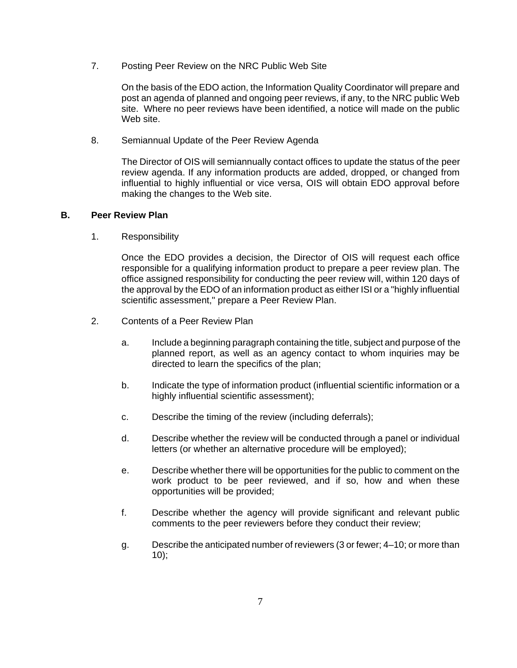7. Posting Peer Review on the NRC Public Web Site

On the basis of the EDO action, the Information Quality Coordinator will prepare and post an agenda of planned and ongoing peer reviews, if any, to the NRC public Web site. Where no peer reviews have been identified, a notice will made on the public Web site.

8. Semiannual Update of the Peer Review Agenda

 The Director of OIS will semiannually contact offices to update the status of the peer review agenda. If any information products are added, dropped, or changed from influential to highly influential or vice versa, OIS will obtain EDO approval before making the changes to the Web site.

### **B. Peer Review Plan**

1. Responsibility

Once the EDO provides a decision, the Director of OIS will request each office responsible for a qualifying information product to prepare a peer review plan. The office assigned responsibility for conducting the peer review will, within 120 days of the approval by the EDO of an information product as either ISI or a "highly influential scientific assessment," prepare a Peer Review Plan.

- 2. Contents of a Peer Review Plan
	- a. Include a beginning paragraph containing the title, subject and purpose of the planned report, as well as an agency contact to whom inquiries may be directed to learn the specifics of the plan;
	- b. Indicate the type of information product (influential scientific information or a highly influential scientific assessment);
	- c. Describe the timing of the review (including deferrals);
	- d. Describe whether the review will be conducted through a panel or individual letters (or whether an alternative procedure will be employed);
	- e. Describe whether there will be opportunities for the public to comment on the work product to be peer reviewed, and if so, how and when these opportunities will be provided;
	- f. Describe whether the agency will provide significant and relevant public comments to the peer reviewers before they conduct their review;
	- g. Describe the anticipated number of reviewers (3 or fewer; 4–10; or more than  $10$ ;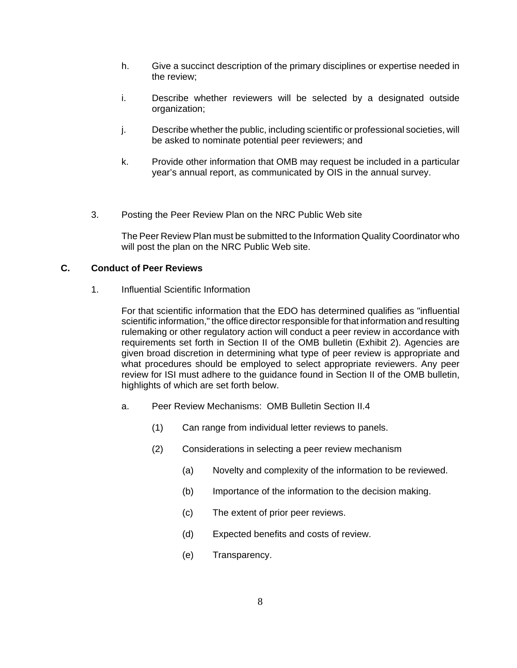- h. Give a succinct description of the primary disciplines or expertise needed in the review;
- i. Describe whether reviewers will be selected by a designated outside organization;
- j. Describe whether the public, including scientific or professional societies, will be asked to nominate potential peer reviewers; and
- k. Provide other information that OMB may request be included in a particular year's annual report, as communicated by OIS in the annual survey.
- 3. Posting the Peer Review Plan on the NRC Public Web site

The Peer Review Plan must be submitted to the Information Quality Coordinator who will post the plan on the NRC Public Web site.

#### **C. Conduct of Peer Reviews**

1. Influential Scientific Information

For that scientific information that the EDO has determined qualifies as "influential scientific information," the office director responsible for that information and resulting rulemaking or other regulatory action will conduct a peer review in accordance with requirements set forth in Section II of the OMB bulletin (Exhibit 2). Agencies are given broad discretion in determining what type of peer review is appropriate and what procedures should be employed to select appropriate reviewers. Any peer review for ISI must adhere to the guidance found in Section II of the OMB bulletin, highlights of which are set forth below.

- a. Peer Review Mechanisms: OMB Bulletin Section II.4
	- (1) Can range from individual letter reviews to panels.
	- (2) Considerations in selecting a peer review mechanism
		- (a) Novelty and complexity of the information to be reviewed.
		- (b) Importance of the information to the decision making.
		- (c) The extent of prior peer reviews.
		- (d) Expected benefits and costs of review.
		- (e) Transparency.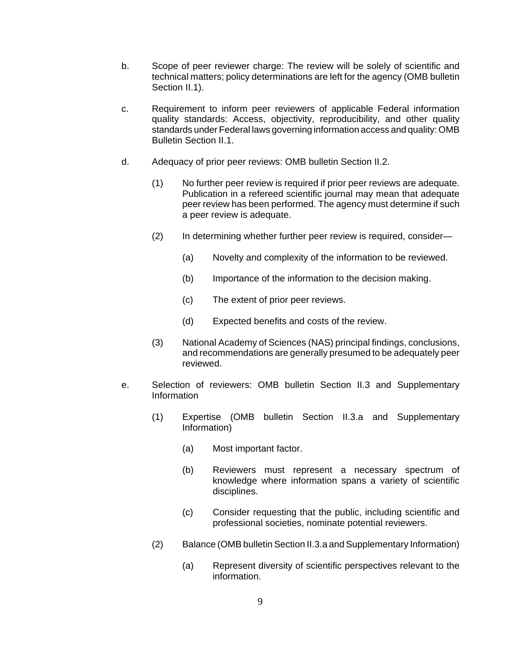- b. Scope of peer reviewer charge: The review will be solely of scientific and technical matters; policy determinations are left for the agency (OMB bulletin Section II.1).
- c. Requirement to inform peer reviewers of applicable Federal information quality standards: Access, objectivity, reproducibility, and other quality standards under Federal laws governing information access and quality: OMB Bulletin Section II.1.
- d. Adequacy of prior peer reviews: OMB bulletin Section II.2.
	- (1) No further peer review is required if prior peer reviews are adequate. Publication in a refereed scientific journal may mean that adequate peer review has been performed. The agency must determine if such a peer review is adequate.
	- (2) In determining whether further peer review is required, consider—
		- (a) Novelty and complexity of the information to be reviewed.
		- (b) Importance of the information to the decision making.
		- (c) The extent of prior peer reviews.
		- (d) Expected benefits and costs of the review.
	- (3) National Academy of Sciences (NAS) principal findings, conclusions, and recommendations are generally presumed to be adequately peer reviewed.
- e. Selection of reviewers: OMB bulletin Section II.3 and Supplementary Information
	- (1) Expertise (OMB bulletin Section II.3.a and Supplementary Information)
		- (a) Most important factor.
		- (b) Reviewers must represent a necessary spectrum of knowledge where information spans a variety of scientific disciplines.
		- (c) Consider requesting that the public, including scientific and professional societies, nominate potential reviewers.
	- (2) Balance (OMB bulletin Section II.3.a and Supplementary Information)
		- (a) Represent diversity of scientific perspectives relevant to the information.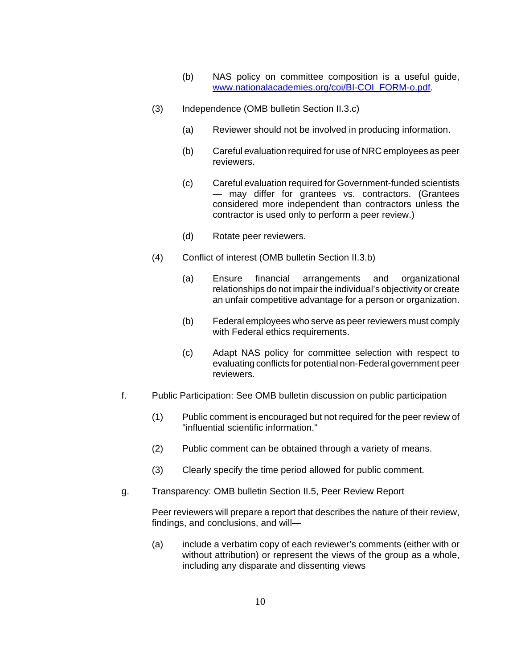- (b) NAS policy on committee composition is a useful guide, www.nationalacademies.org/coi/BI-COI\_FORM-o.pdf.
- (3) Independence (OMB bulletin Section II.3.c)
	- (a) Reviewer should not be involved in producing information.
	- (b) Careful evaluation required for use of NRC employees as peer reviewers.
	- (c) Careful evaluation required for Government-funded scientists — may differ for grantees vs. contractors. (Grantees considered more independent than contractors unless the contractor is used only to perform a peer review.)
	- (d) Rotate peer reviewers.
- (4) Conflict of interest (OMB bulletin Section II.3.b)
	- (a) Ensure financial arrangements and organizational relationships do not impair the individual's objectivity or create an unfair competitive advantage for a person or organization.
	- (b) Federal employees who serve as peer reviewers must comply with Federal ethics requirements.
	- (c) Adapt NAS policy for committee selection with respect to evaluating conflicts for potential non-Federal government peer reviewers.
- f. Public Participation: See OMB bulletin discussion on public participation
	- (1) Public comment is encouraged but not required for the peer review of "influential scientific information."
	- (2) Public comment can be obtained through a variety of means.
	- (3) Clearly specify the time period allowed for public comment.
- g. Transparency: OMB bulletin Section II.5, Peer Review Report

Peer reviewers will prepare a report that describes the nature of their review, findings, and conclusions, and will—

(a) include a verbatim copy of each reviewer's comments (either with or without attribution) or represent the views of the group as a whole, including any disparate and dissenting views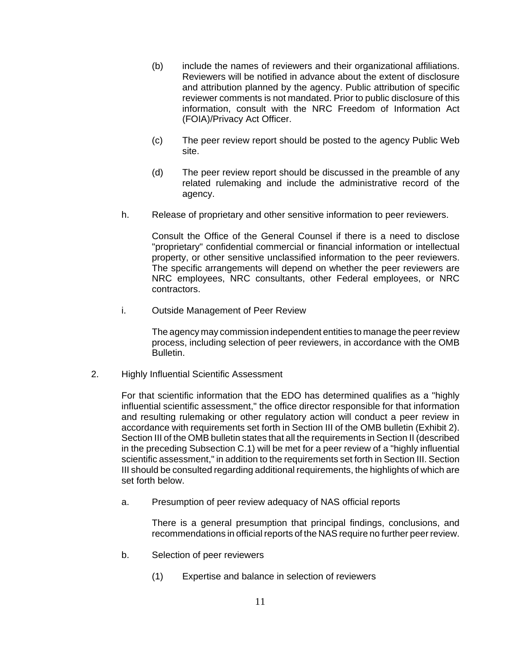- (b) include the names of reviewers and their organizational affiliations. Reviewers will be notified in advance about the extent of disclosure and attribution planned by the agency. Public attribution of specific reviewer comments is not mandated. Prior to public disclosure of this information, consult with the NRC Freedom of Information Act (FOIA)/Privacy Act Officer.
- (c) The peer review report should be posted to the agency Public Web site.
- (d) The peer review report should be discussed in the preamble of any related rulemaking and include the administrative record of the agency.
- h. Release of proprietary and other sensitive information to peer reviewers.

Consult the Office of the General Counsel if there is a need to disclose "proprietary" confidential commercial or financial information or intellectual property, or other sensitive unclassified information to the peer reviewers. The specific arrangements will depend on whether the peer reviewers are NRC employees, NRC consultants, other Federal employees, or NRC contractors.

i. Outside Management of Peer Review

The agency may commission independent entities to manage the peer review process, including selection of peer reviewers, in accordance with the OMB Bulletin.

2. Highly Influential Scientific Assessment

For that scientific information that the EDO has determined qualifies as a "highly influential scientific assessment," the office director responsible for that information and resulting rulemaking or other regulatory action will conduct a peer review in accordance with requirements set forth in Section III of the OMB bulletin (Exhibit 2). Section III of the OMB bulletin states that all the requirements in Section II (described in the preceding Subsection C.1) will be met for a peer review of a "highly influential scientific assessment," in addition to the requirements set forth in Section III. Section III should be consulted regarding additional requirements, the highlights of which are set forth below.

a. Presumption of peer review adequacy of NAS official reports

There is a general presumption that principal findings, conclusions, and recommendations in official reports of the NAS require no further peer review.

- b. Selection of peer reviewers
	- (1) Expertise and balance in selection of reviewers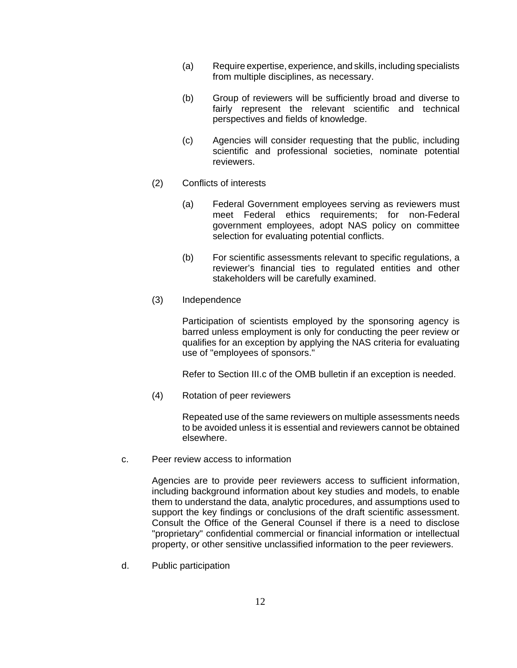- (a) Require expertise, experience, and skills, including specialists from multiple disciplines, as necessary.
- (b) Group of reviewers will be sufficiently broad and diverse to fairly represent the relevant scientific and technical perspectives and fields of knowledge.
- (c) Agencies will consider requesting that the public, including scientific and professional societies, nominate potential reviewers.
- (2) Conflicts of interests
	- (a) Federal Government employees serving as reviewers must meet Federal ethics requirements; for non-Federal government employees, adopt NAS policy on committee selection for evaluating potential conflicts.
	- (b) For scientific assessments relevant to specific regulations, a reviewer's financial ties to regulated entities and other stakeholders will be carefully examined.
- (3) Independence

Participation of scientists employed by the sponsoring agency is barred unless employment is only for conducting the peer review or qualifies for an exception by applying the NAS criteria for evaluating use of "employees of sponsors."

Refer to Section III.c of the OMB bulletin if an exception is needed.

(4) Rotation of peer reviewers

Repeated use of the same reviewers on multiple assessments needs to be avoided unless it is essential and reviewers cannot be obtained elsewhere.

c. Peer review access to information

Agencies are to provide peer reviewers access to sufficient information, including background information about key studies and models, to enable them to understand the data, analytic procedures, and assumptions used to support the key findings or conclusions of the draft scientific assessment. Consult the Office of the General Counsel if there is a need to disclose "proprietary" confidential commercial or financial information or intellectual property, or other sensitive unclassified information to the peer reviewers.

d. Public participation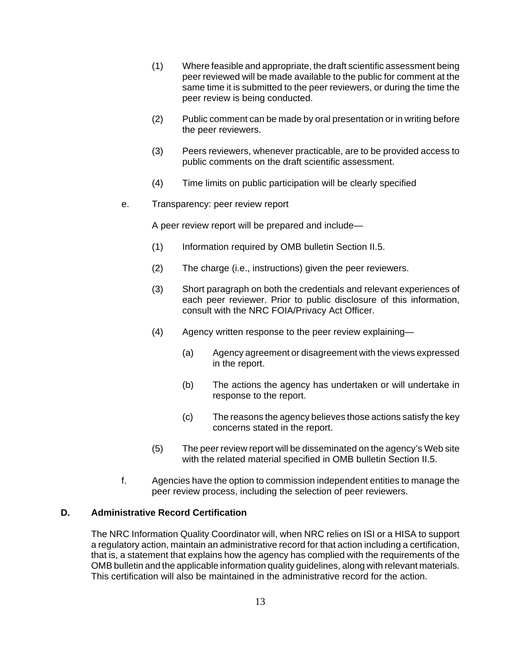- (1) Where feasible and appropriate, the draft scientific assessment being peer reviewed will be made available to the public for comment at the same time it is submitted to the peer reviewers, or during the time the peer review is being conducted.
- (2) Public comment can be made by oral presentation or in writing before the peer reviewers.
- (3) Peers reviewers, whenever practicable, are to be provided access to public comments on the draft scientific assessment.
- (4) Time limits on public participation will be clearly specified
- e. Transparency: peer review report

A peer review report will be prepared and include—

- (1) Information required by OMB bulletin Section II.5.
- (2) The charge (i.e., instructions) given the peer reviewers.
- (3) Short paragraph on both the credentials and relevant experiences of each peer reviewer. Prior to public disclosure of this information, consult with the NRC FOIA/Privacy Act Officer.
- (4) Agency written response to the peer review explaining—
	- (a) Agency agreement or disagreement with the views expressed in the report.
	- (b) The actions the agency has undertaken or will undertake in response to the report.
	- (c) The reasons the agency believes those actions satisfy the key concerns stated in the report.
- (5) The peer review report will be disseminated on the agency's Web site with the related material specified in OMB bulletin Section II.5.
- f. Agencies have the option to commission independent entities to manage the peer review process, including the selection of peer reviewers.

# **D. Administrative Record Certification**

The NRC Information Quality Coordinator will, when NRC relies on ISI or a HISA to support a regulatory action, maintain an administrative record for that action including a certification, that is, a statement that explains how the agency has complied with the requirements of the OMB bulletin and the applicable information quality guidelines, along with relevant materials. This certification will also be maintained in the administrative record for the action.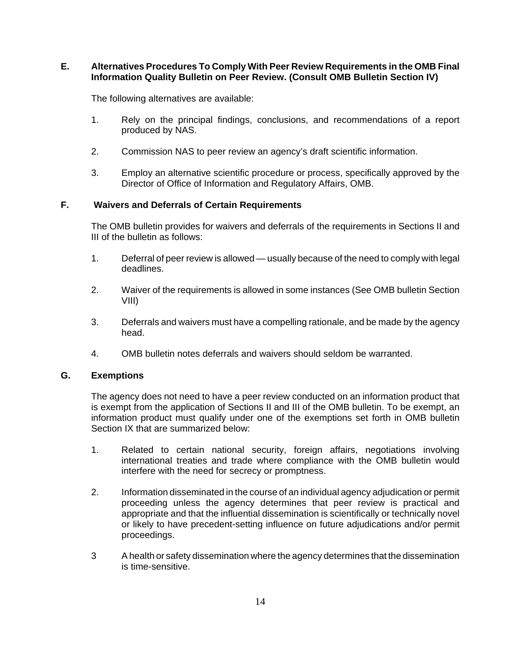## **E. Alternatives Procedures To Comply With Peer Review Requirements in the OMB Final Information Quality Bulletin on Peer Review. (Consult OMB Bulletin Section IV)**

The following alternatives are available:

- 1. Rely on the principal findings, conclusions, and recommendations of a report produced by NAS.
- 2. Commission NAS to peer review an agency's draft scientific information.
- 3. Employ an alternative scientific procedure or process, specifically approved by the Director of Office of Information and Regulatory Affairs, OMB.

# **F. Waivers and Deferrals of Certain Requirements**

The OMB bulletin provides for waivers and deferrals of the requirements in Sections II and III of the bulletin as follows:

- 1. Deferral of peer review is allowed usually because of the need to comply with legal deadlines.
- 2. Waiver of the requirements is allowed in some instances (See OMB bulletin Section VIII)
- 3. Deferrals and waivers must have a compelling rationale, and be made by the agency head.
- 4. OMB bulletin notes deferrals and waivers should seldom be warranted.

### **G. Exemptions**

The agency does not need to have a peer review conducted on an information product that is exempt from the application of Sections II and III of the OMB bulletin. To be exempt, an information product must qualify under one of the exemptions set forth in OMB bulletin Section IX that are summarized below:

- 1. Related to certain national security, foreign affairs, negotiations involving international treaties and trade where compliance with the OMB bulletin would interfere with the need for secrecy or promptness.
- 2. Information disseminated in the course of an individual agency adjudication or permit proceeding unless the agency determines that peer review is practical and appropriate and that the influential dissemination is scientifically or technically novel or likely to have precedent-setting influence on future adjudications and/or permit proceedings.
- 3 A health or safety dissemination where the agency determines that the dissemination is time-sensitive.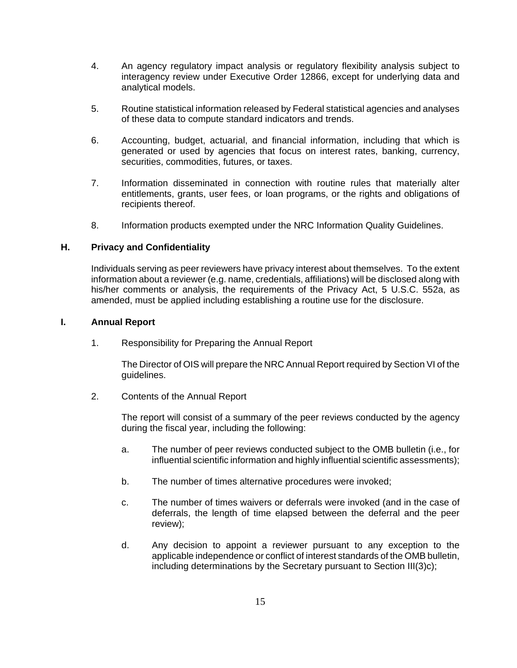- 4. An agency regulatory impact analysis or regulatory flexibility analysis subject to interagency review under Executive Order 12866, except for underlying data and analytical models.
- 5. Routine statistical information released by Federal statistical agencies and analyses of these data to compute standard indicators and trends.
- 6. Accounting, budget, actuarial, and financial information, including that which is generated or used by agencies that focus on interest rates, banking, currency, securities, commodities, futures, or taxes.
- 7. Information disseminated in connection with routine rules that materially alter entitlements, grants, user fees, or loan programs, or the rights and obligations of recipients thereof.
- 8. Information products exempted under the NRC Information Quality Guidelines.

### **H. Privacy and Confidentiality**

Individuals serving as peer reviewers have privacy interest about themselves. To the extent information about a reviewer (e.g. name, credentials, affiliations) will be disclosed along with his/her comments or analysis, the requirements of the Privacy Act, 5 U.S.C. 552a, as amended, must be applied including establishing a routine use for the disclosure.

### **I. Annual Report**

1. Responsibility for Preparing the Annual Report

The Director of OIS will prepare the NRC Annual Report required by Section VI of the guidelines.

2. Contents of the Annual Report

The report will consist of a summary of the peer reviews conducted by the agency during the fiscal year, including the following:

- a. The number of peer reviews conducted subject to the OMB bulletin (i.e., for influential scientific information and highly influential scientific assessments);
- b. The number of times alternative procedures were invoked;
- c. The number of times waivers or deferrals were invoked (and in the case of deferrals, the length of time elapsed between the deferral and the peer review);
- d. Any decision to appoint a reviewer pursuant to any exception to the applicable independence or conflict of interest standards of the OMB bulletin, including determinations by the Secretary pursuant to Section III(3)c);